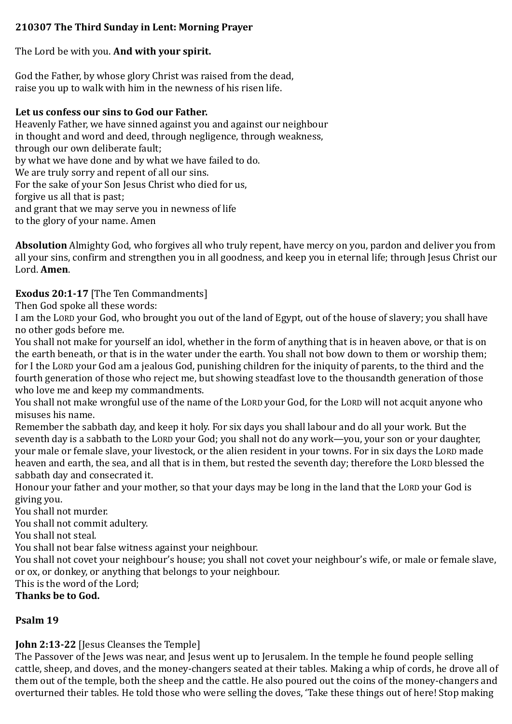## **210307 The Third Sunday in Lent: Morning Prayer**

The Lord be with you. **And with your spirit.**

God the Father, by whose glory Christ was raised from the dead, raise you up to walk with him in the newness of his risen life.

#### **Let us confess our sins to God our Father.**

Heavenly Father, we have sinned against you and against our neighbour in thought and word and deed, through negligence, through weakness, through our own deliberate fault; by what we have done and by what we have failed to do. We are truly sorry and repent of all our sins. For the sake of your Son Jesus Christ who died for us, forgive us all that is past; and grant that we may serve you in newness of life to the glory of your name. Amen

**Absolution** Almighty God, who forgives all who truly repent, have mercy on you, pardon and deliver you from all your sins, confirm and strengthen you in all goodness, and keep you in eternal life; through Jesus Christ our Lord. **Amen**.

### **Exodus 20:1-17** [The Ten Commandments]

Then God spoke all these words:

I am the LORD your God, who brought you out of the land of Egypt, out of the house of slavery; you shall have no other gods before me.

You shall not make for yourself an idol, whether in the form of anything that is in heaven above, or that is on the earth beneath, or that is in the water under the earth. You shall not bow down to them or worship them; for I the LORD your God am a jealous God, punishing children for the iniquity of parents, to the third and the fourth generation of those who reject me, but showing steadfast love to the thousandth generation of those who love me and keep my commandments.

You shall not make wrongful use of the name of the LORD your God, for the LORD will not acquit anyone who misuses his name.

Remember the sabbath day, and keep it holy. For six days you shall labour and do all your work. But the seventh day is a sabbath to the LORD your God; you shall not do any work—you, your son or your daughter, your male or female slave, your livestock, or the alien resident in your towns. For in six days the LORD made heaven and earth, the sea, and all that is in them, but rested the seventh day; therefore the LORD blessed the sabbath day and consecrated it.

Honour your father and your mother, so that your days may be long in the land that the LORD your God is giving you.

You shall not murder.

You shall not commit adultery.

You shall not steal.

You shall not bear false witness against your neighbour.

You shall not covet your neighbour's house; you shall not covet your neighbour's wife, or male or female slave, or ox, or donkey, or anything that belongs to your neighbour.

This is the word of the Lord;

**Thanks be to God.**

### **Psalm 19**

### **John 2:13-22** [Jesus Cleanses the Temple]

The Passover of the Jews was near, and Jesus went up to Jerusalem. In the temple he found people selling cattle, sheep, and doves, and the money-changers seated at their tables. Making a whip of cords, he drove all of them out of the temple, both the sheep and the cattle. He also poured out the coins of the money-changers and overturned their tables. He told those who were selling the doves, 'Take these things out of here! Stop making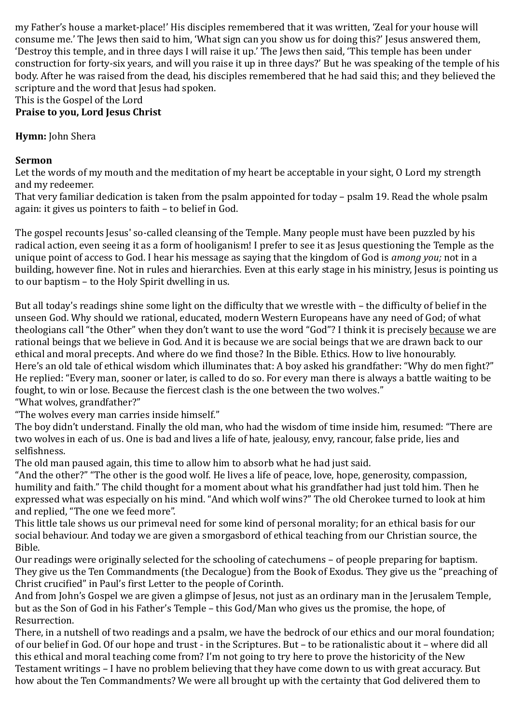my Father's house a market-place!' His disciples remembered that it was written, 'Zeal for your house will consume me.' The Jews then said to him, 'What sign can you show us for doing this?' Jesus answered them, 'Destroy this temple, and in three days I will raise it up.' The Jews then said, 'This temple has been under construction for forty-six years, and will you raise it up in three days?' But he was speaking of the temple of his body. After he was raised from the dead, his disciples remembered that he had said this; and they believed the scripture and the word that Jesus had spoken.

This is the Gospel of the Lord

# **Praise to you, Lord Jesus Christ**

**Hymn:** John Shera

## **Sermon**

Let the words of my mouth and the meditation of my heart be acceptable in your sight, O Lord my strength and my redeemer.

That very familiar dedication is taken from the psalm appointed for today – psalm 19. Read the whole psalm again: it gives us pointers to faith – to belief in God.

The gospel recounts Jesus' so-called cleansing of the Temple. Many people must have been puzzled by his radical action, even seeing it as a form of hooliganism! I prefer to see it as Jesus questioning the Temple as the unique point of access to God. I hear his message as saying that the kingdom of God is *among you;* not in a building, however fine. Not in rules and hierarchies. Even at this early stage in his ministry, Jesus is pointing us to our baptism – to the Holy Spirit dwelling in us.

But all today's readings shine some light on the difficulty that we wrestle with – the difficulty of belief in the unseen God. Why should we rational, educated, modern Western Europeans have any need of God; of what theologians call "the Other" when they don't want to use the word "God"? I think it is precisely because we are rational beings that we believe in God. And it is because we are social beings that we are drawn back to our ethical and moral precepts. And where do we find those? In the Bible. Ethics. How to live honourably. Here's an old tale of ethical wisdom which illuminates that: A boy asked his grandfather: "Why do men fight?" He replied: "Every man, sooner or later, is called to do so. For every man there is always a battle waiting to be fought, to win or lose. Because the fiercest clash is the one between the two wolves." "What wolves, grandfather?"

"The wolves every man carries inside himself."

The boy didn't understand. Finally the old man, who had the wisdom of time inside him, resumed: "There are two wolves in each of us. One is bad and lives a life of hate, jealousy, envy, rancour, false pride, lies and selfishness.

The old man paused again, this time to allow him to absorb what he had just said.

"And the other?" "The other is the good wolf. He lives a life of peace, love, hope, generosity, compassion, humility and faith." The child thought for a moment about what his grandfather had just told him. Then he expressed what was especially on his mind. "And which wolf wins?" The old Cherokee turned to look at him and replied, "The one we feed more".

This little tale shows us our primeval need for some kind of personal morality; for an ethical basis for our social behaviour. And today we are given a smorgasbord of ethical teaching from our Christian source, the Bible.

Our readings were originally selected for the schooling of catechumens – of people preparing for baptism. They give us the Ten Commandments (the Decalogue) from the Book of Exodus. They give us the "preaching of Christ crucified" in Paul's first Letter to the people of Corinth.

And from John's Gospel we are given a glimpse of Jesus, not just as an ordinary man in the Jerusalem Temple, but as the Son of God in his Father's Temple – this God/Man who gives us the promise, the hope, of Resurrection.

There, in a nutshell of two readings and a psalm, we have the bedrock of our ethics and our moral foundation; of our belief in God. Of our hope and trust - in the Scriptures. But – to be rationalistic about it – where did all this ethical and moral teaching come from? I'm not going to try here to prove the historicity of the New Testament writings – I have no problem believing that they have come down to us with great accuracy. But how about the Ten Commandments? We were all brought up with the certainty that God delivered them to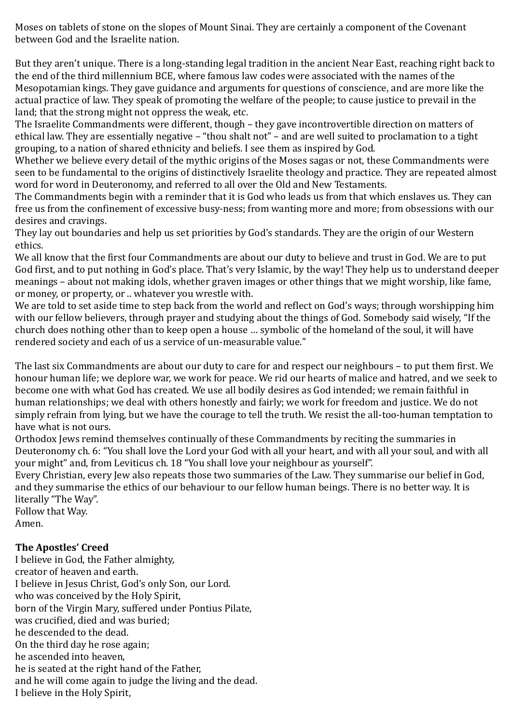Moses on tablets of stone on the slopes of Mount Sinai. They are certainly a component of the Covenant between God and the Israelite nation.

But they aren't unique. There is a long-standing legal tradition in the ancient Near East, reaching right back to the end of the third millennium BCE, where famous law codes were associated with the names of the Mesopotamian kings. They gave guidance and arguments for questions of conscience, and are more like the actual practice of law. They speak of promoting the welfare of the people; to cause justice to prevail in the land; that the strong might not oppress the weak, etc.

The Israelite Commandments were different, though – they gave incontrovertible direction on matters of ethical law. They are essentially negative – "thou shalt not" – and are well suited to proclamation to a tight grouping, to a nation of shared ethnicity and beliefs. I see them as inspired by God.

Whether we believe every detail of the mythic origins of the Moses sagas or not, these Commandments were seen to be fundamental to the origins of distinctively Israelite theology and practice. They are repeated almost word for word in Deuteronomy, and referred to all over the Old and New Testaments.

The Commandments begin with a reminder that it is God who leads us from that which enslaves us. They can free us from the confinement of excessive busy-ness; from wanting more and more; from obsessions with our desires and cravings.

They lay out boundaries and help us set priorities by God's standards. They are the origin of our Western ethics.

We all know that the first four Commandments are about our duty to believe and trust in God. We are to put God first, and to put nothing in God's place. That's very Islamic, by the way! They help us to understand deeper meanings – about not making idols, whether graven images or other things that we might worship, like fame, or money, or property, or .. whatever you wrestle with.

We are told to set aside time to step back from the world and reflect on God's ways; through worshipping him with our fellow believers, through prayer and studying about the things of God. Somebody said wisely, "If the church does nothing other than to keep open a house … symbolic of the homeland of the soul, it will have rendered society and each of us a service of un-measurable value."

The last six Commandments are about our duty to care for and respect our neighbours – to put them first. We honour human life; we deplore war, we work for peace. We rid our hearts of malice and hatred, and we seek to become one with what God has created. We use all bodily desires as God intended; we remain faithful in human relationships; we deal with others honestly and fairly; we work for freedom and justice. We do not simply refrain from lying, but we have the courage to tell the truth. We resist the all-too-human temptation to have what is not ours.

Orthodox Jews remind themselves continually of these Commandments by reciting the summaries in Deuteronomy ch. 6: "You shall love the Lord your God with all your heart, and with all your soul, and with all your might" and, from Leviticus ch. 18 "You shall love your neighbour as yourself".

Every Christian, every Jew also repeats those two summaries of the Law. They summarise our belief in God, and they summarise the ethics of our behaviour to our fellow human beings. There is no better way. It is literally "The Way".

Follow that Way. Amen.

## **The Apostles' Creed**

I believe in God, the Father almighty, creator of heaven and earth. I believe in Jesus Christ, God's only Son, our Lord. who was conceived by the Holy Spirit, born of the Virgin Mary, suffered under Pontius Pilate, was crucified, died and was buried; he descended to the dead. On the third day he rose again; he ascended into heaven, he is seated at the right hand of the Father, and he will come again to judge the living and the dead. I believe in the Holy Spirit,